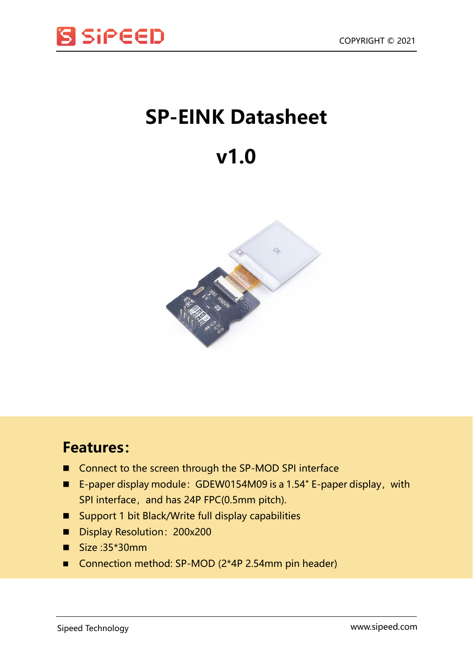

## **SP-EINK Datasheet**

## **v1.0**



## **Features:**

- Connect to the screen through the SP-MOD SPI interface
- E-paper display module: GDEW0154M09 is a 1.54" E-paper display, with SPI interface, and has 24P FPC(0.5mm pitch).
- Support 1 bit Black/Write full display capabilities
- Display Resolution: 200x200
- $\blacksquare$  Size :35\*30mm
- Connection method: SP-MOD (2\*4P 2.54mm pin header)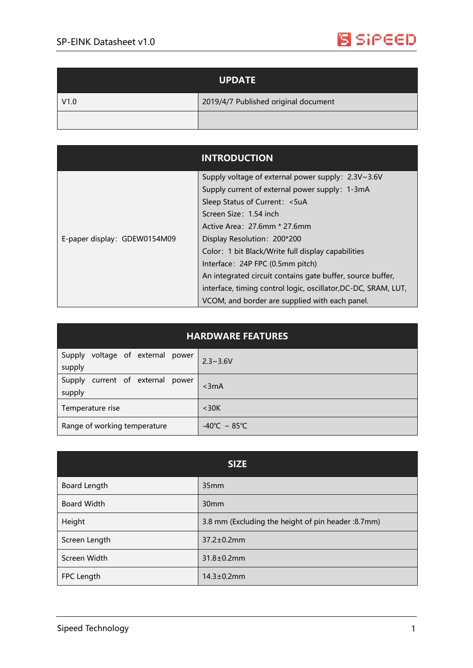

| <b>UPDATE</b> |                                      |
|---------------|--------------------------------------|
| V1.0          | 2019/4/7 Published original document |
|               |                                      |

|                              | <b>INTRODUCTION</b>                                            |
|------------------------------|----------------------------------------------------------------|
| E-paper display: GDEW0154M09 | Supply voltage of external power supply: 2.3V~3.6V             |
|                              | Supply current of external power supply: 1-3mA                 |
|                              | Sleep Status of Current: <5uA                                  |
|                              | Screen Size: 1.54 inch                                         |
|                              | Active Area: 27.6mm * 27.6mm                                   |
|                              | Display Resolution: 200*200                                    |
|                              | Color: 1 bit Black/Write full display capabilities             |
|                              | Interface: 24P FPC (0.5mm pitch)                               |
|                              | An integrated circuit contains gate buffer, source buffer,     |
|                              | interface, timing control logic, oscillator, DC-DC, SRAM, LUT, |
|                              | VCOM, and border are supplied with each panel.                 |

| <b>HARDWARE FEATURES</b>                      |                                   |  |
|-----------------------------------------------|-----------------------------------|--|
| Supply voltage of external power<br>supply    | $2.3 \sim 3.6 V$                  |  |
| current of external power<br>Supply<br>supply | $3mA$                             |  |
| Temperature rise                              | $<$ 30 $K$                        |  |
| Range of working temperature                  | $-40^{\circ}$ C ~ 85 $^{\circ}$ C |  |

| <b>SIZE</b>        |                                                     |  |
|--------------------|-----------------------------------------------------|--|
| Board Length       | 35 <sub>mm</sub>                                    |  |
| <b>Board Width</b> | 30 <sub>mm</sub>                                    |  |
| Height             | 3.8 mm (Excluding the height of pin header : 8.7mm) |  |
| Screen Length      | $37.2 \pm 0.2$ mm                                   |  |
| Screen Width       | $31.8 \pm 0.2$ mm                                   |  |
| FPC Length         | $14.3 \pm 0.2$ mm                                   |  |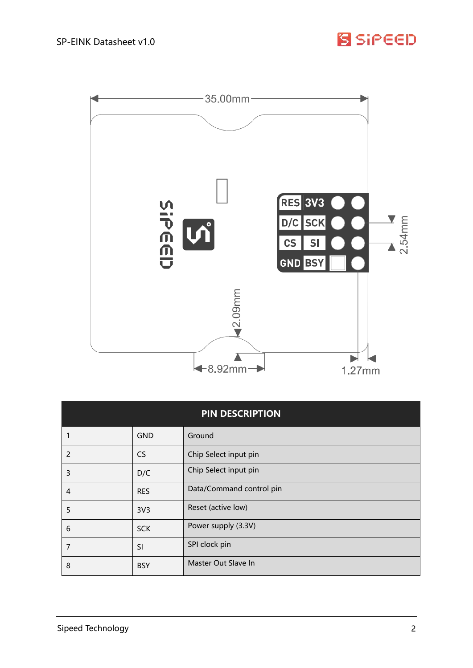



| <b>PIN DESCRIPTION</b> |                 |                          |
|------------------------|-----------------|--------------------------|
|                        | <b>GND</b>      | Ground                   |
| 2                      | <b>CS</b>       | Chip Select input pin    |
| 3                      | D/C             | Chip Select input pin    |
| 4                      | <b>RES</b>      | Data/Command control pin |
| 5                      | 3V <sub>3</sub> | Reset (active low)       |
| 6                      | <b>SCK</b>      | Power supply (3.3V)      |
| 7                      | SI              | SPI clock pin            |
| 8                      | <b>BSY</b>      | Master Out Slave In      |